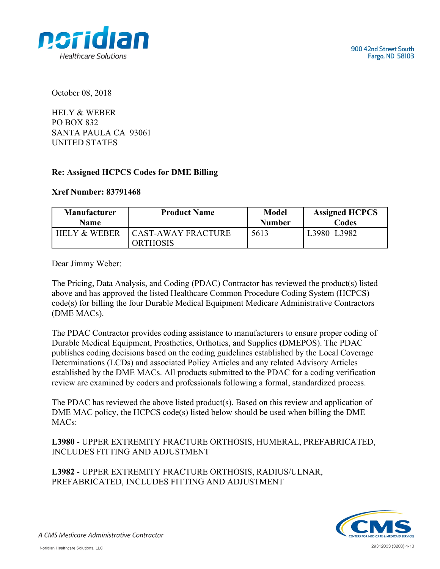



October 08, 2018

HELY & WEBER PO BOX 832 SANTA PAULA CA 93061 UNITED STATES

## **Re: Assigned HCPCS Codes for DME Billing**

## **Xref Number: 83791468**

| <b>Manufacturer</b>     | <b>Product Name</b>                          | <b>Model</b>  | <b>Assigned HCPCS</b> |
|-------------------------|----------------------------------------------|---------------|-----------------------|
| <b>Name</b>             |                                              | <b>Number</b> | Codes                 |
| <b>HELY &amp; WEBER</b> | <b>CAST-AWAY FRACTURE</b><br><b>ORTHOSIS</b> | 5613          | L3980+L3982           |

Dear Jimmy Weber:

The Pricing, Data Analysis, and Coding (PDAC) Contractor has reviewed the product(s) listed above and has approved the listed Healthcare Common Procedure Coding System (HCPCS) code(s) for billing the four Durable Medical Equipment Medicare Administrative Contractors (DME MACs).

The PDAC Contractor provides coding assistance to manufacturers to ensure proper coding of Durable Medical Equipment, Prosthetics, Orthotics, and Supplies **(**DMEPOS). The PDAC publishes coding decisions based on the coding guidelines established by the Local Coverage Determinations (LCDs) and associated Policy Articles and any related Advisory Articles established by the DME MACs. All products submitted to the PDAC for a coding verification review are examined by coders and professionals following a formal, standardized process.

The PDAC has reviewed the above listed product(s). Based on this review and application of DME MAC policy, the HCPCS code(s) listed below should be used when billing the DME MACs:

**L3980** - UPPER EXTREMITY FRACTURE ORTHOSIS, HUMERAL, PREFABRICATED, INCLUDES FITTING AND ADJUSTMENT

**L3982** - UPPER EXTREMITY FRACTURE ORTHOSIS, RADIUS/ULNAR, PREFABRICATED, INCLUDES FITTING AND ADJUSTMENT



A CMS Medicare Administrative Contractor